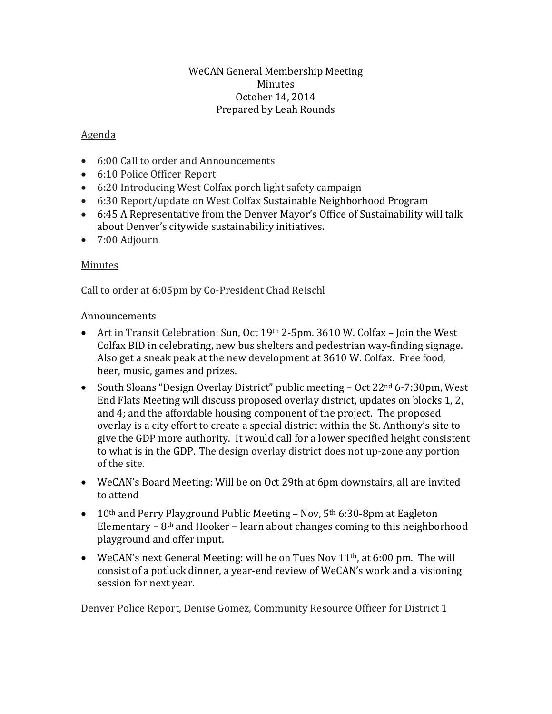## WeCAN General Membership Meeting Minutes October 14, 2014 Prepared by Leah Rounds

## Agenda

- 6:00 Call to order and Announcements
- 6:10 Police Officer Report
- 6:20 Introducing West Colfax porch light safety campaign
- 6:30 Report/update on West Colfax Sustainable Neighborhood Program
- 6:45 A Representative from the Denver Mayor's Office of Sustainability will talk about Denver's citywide sustainability initiatives.
- 7:00 Adjourn

## Minutes

Call to order at 6:05pm by Co-President Chad Reischl

## Announcements

- Art in Transit Celebration: Sun, Oct 19<sup>th</sup> 2-5pm. 3610 W. Colfax Join the West Colfax BID in celebrating, new bus shelters and pedestrian way-finding signage. Also get a sneak peak at the new development at 3610 W. Colfax. Free food, beer, music, games and prizes.
- South Sloans "Design Overlay District" public meeting Oct 22<sup>nd</sup> 6-7:30pm, West End Flats Meeting will discuss proposed overlay district, updates on blocks 1, 2, and 4; and the affordable housing component of the project. The proposed overlay is a city effort to create a special district within the St. Anthony's site to give the GDP more authority. It would call for a lower specified height consistent to what is in the GDP. The design overlay district does not up-zone any portion of the site.
- WeCAN's Board Meeting: Will be on Oct 29th at 6pm downstairs, all are invited to attend
- 10<sup>th</sup> and Perry Playground Public Meeting Nov,  $5<sup>th</sup> 6:30-8pm$  at Eagleton Elementary –  $8<sup>th</sup>$  and Hooker – learn about changes coming to this neighborhood playground and offer input.
- WeCAN's next General Meeting: will be on Tues Nov  $11<sup>th</sup>$ , at 6:00 pm. The will consist of a potluck dinner, a year-end review of WeCAN's work and a visioning session for next year.

Denver Police Report, Denise Gomez, Community Resource Officer for District 1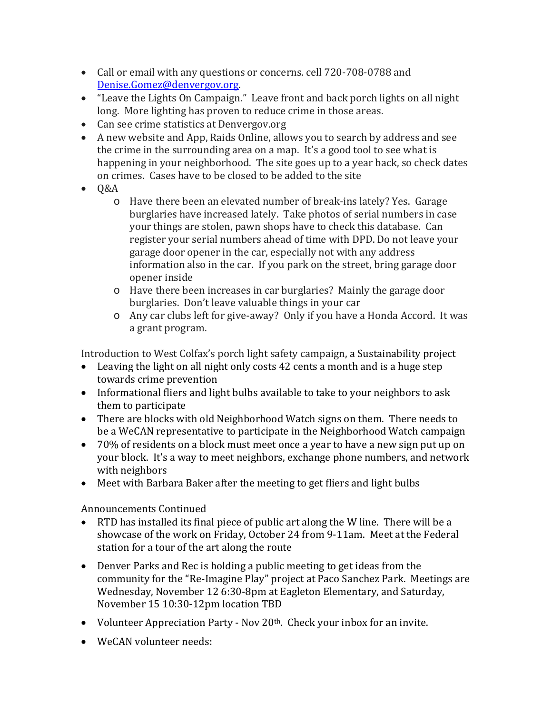- Call or email with any questions or concerns. cell 720-708-0788 and [Denise.Gomez@denvergov.org.](mailto:Denise.Gomez@denvergov.org)
- "Leave the Lights On Campaign." Leave front and back porch lights on all night long. More lighting has proven to reduce crime in those areas.
- Can see crime statistics at Denvergov.org
- A new website and App, Raids Online, allows you to search by address and see the crime in the surrounding area on a map. It's a good tool to see what is happening in your neighborhood. The site goes up to a year back, so check dates on crimes. Cases have to be closed to be added to the site
- Q&A
	- o Have there been an elevated number of break-ins lately? Yes. Garage burglaries have increased lately. Take photos of serial numbers in case your things are stolen, pawn shops have to check this database. Can register your serial numbers ahead of time with DPD. Do not leave your garage door opener in the car, especially not with any address information also in the car. If you park on the street, bring garage door opener inside
	- o Have there been increases in car burglaries? Mainly the garage door burglaries. Don't leave valuable things in your car
	- o Any car clubs left for give-away? Only if you have a Honda Accord. It was a grant program.

Introduction to West Colfax's porch light safety campaign, a Sustainability project

- Leaving the light on all night only costs 42 cents a month and is a huge step towards crime prevention
- Informational fliers and light bulbs available to take to your neighbors to ask them to participate
- There are blocks with old Neighborhood Watch signs on them. There needs to be a WeCAN representative to participate in the Neighborhood Watch campaign
- 70% of residents on a block must meet once a year to have a new sign put up on your block. It's a way to meet neighbors, exchange phone numbers, and network with neighbors
- Meet with Barbara Baker after the meeting to get fliers and light bulbs

Announcements Continued

- RTD has installed its final piece of public art along the W line. There will be a showcase of the work on Friday, October 24 from 9-11am. Meet at the Federal station for a tour of the art along the route
- Denver Parks and Rec is holding a public meeting to get ideas from the community for the "Re-Imagine Play" project at Paco Sanchez Park. Meetings are Wednesday, November 12 6:30-8pm at Eagleton Elementary, and Saturday, November 15 10:30-12pm location TBD
- Volunteer Appreciation Party Nov 20<sup>th</sup>. Check your inbox for an invite.
- WeCAN volunteer needs: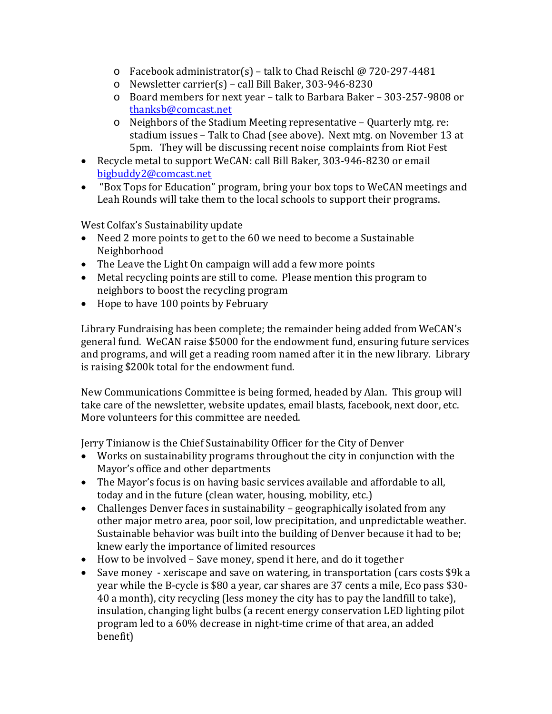- o Facebook administrator(s) talk to Chad Reischl @ 720-297-4481
- o Newsletter carrier(s) call Bill Baker, 303-946-8230
- o Board members for next year talk to Barbara Baker 303-257-9808 or [thanksb@comcast.net](mailto:thanksb@comcast.net)
- o Neighbors of the Stadium Meeting representative Quarterly mtg. re: stadium issues – Talk to Chad (see above). Next mtg. on November 13 at 5pm. They will be discussing recent noise complaints from Riot Fest
- Recycle metal to support WeCAN: call Bill Baker, 303-946-8230 or email [bigbuddy2@comcast.net](mailto:bigbuddy2@comcast.net)
- "Box Tops for Education" program, bring your box tops to WeCAN meetings and Leah Rounds will take them to the local schools to support their programs.

West Colfax's Sustainability update

- Need 2 more points to get to the 60 we need to become a Sustainable Neighborhood
- The Leave the Light On campaign will add a few more points
- Metal recycling points are still to come. Please mention this program to neighbors to boost the recycling program
- Hope to have 100 points by February

Library Fundraising has been complete; the remainder being added from WeCAN's general fund. WeCAN raise \$5000 for the endowment fund, ensuring future services and programs, and will get a reading room named after it in the new library. Library is raising \$200k total for the endowment fund.

New Communications Committee is being formed, headed by Alan. This group will take care of the newsletter, website updates, email blasts, facebook, next door, etc. More volunteers for this committee are needed.

Jerry Tinianow is the Chief Sustainability Officer for the City of Denver

- Works on sustainability programs throughout the city in conjunction with the Mayor's office and other departments
- The Mayor's focus is on having basic services available and affordable to all, today and in the future (clean water, housing, mobility, etc.)
- Challenges Denver faces in sustainability geographically isolated from any other major metro area, poor soil, low precipitation, and unpredictable weather. Sustainable behavior was built into the building of Denver because it had to be; knew early the importance of limited resources
- How to be involved Save money, spend it here, and do it together
- Save money xeriscape and save on watering, in transportation (cars costs \$9k a year while the B-cycle is \$80 a year, car shares are 37 cents a mile, Eco pass \$30- 40 a month), city recycling (less money the city has to pay the landfill to take), insulation, changing light bulbs (a recent energy conservation LED lighting pilot program led to a 60% decrease in night-time crime of that area, an added benefit)